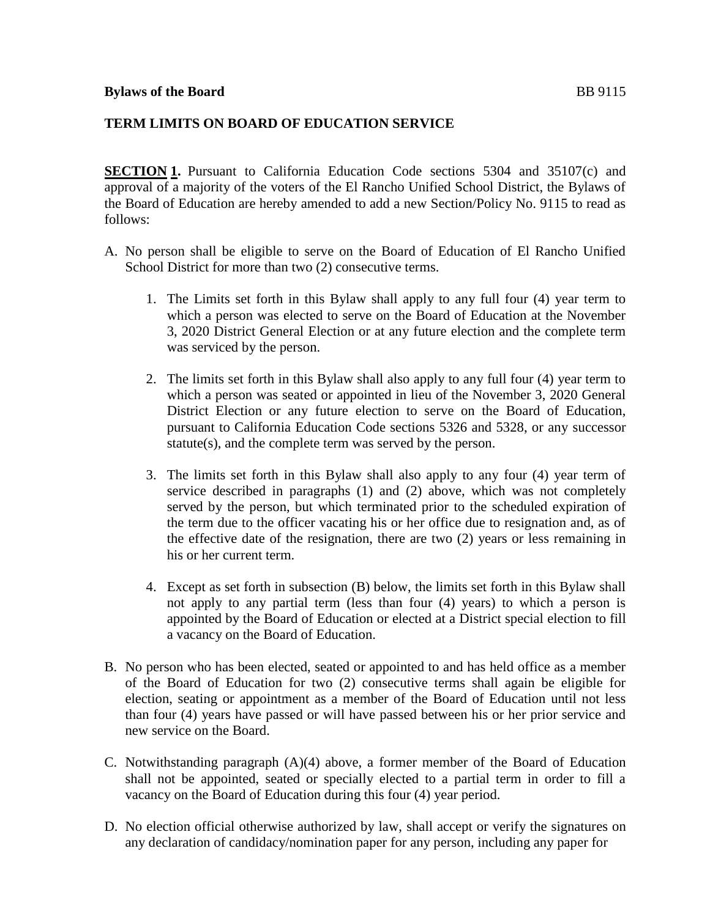## **TERM LIMITS ON BOARD OF EDUCATION SERVICE**

**SECTION 1.** Pursuant to California Education Code sections 5304 and 35107(c) and approval of a majority of the voters of the El Rancho Unified School District, the Bylaws of the Board of Education are hereby amended to add a new Section/Policy No. 9115 to read as follows:

- A. No person shall be eligible to serve on the Board of Education of El Rancho Unified School District for more than two  $(2)$  consecutive terms.
	- 1. The Limits set forth in this Bylaw shall apply to any full four (4) year term to which a person was elected to serve on the Board of Education at the November 3, 2020 District General Election or at any future election and the complete term was serviced by the person.
	- 2. The limits set forth in this Bylaw shall also apply to any full four (4) year term to which a person was seated or appointed in lieu of the November 3, 2020 General District Election or any future election to serve on the Board of Education, pursuant to California Education Code sections 5326 and 5328, or any successor statute(s), and the complete term was served by the person.
	- 3. The limits set forth in this Bylaw shall also apply to any four (4) year term of service described in paragraphs (1) and (2) above, which was not completely served by the person, but which terminated prior to the scheduled expiration of the term due to the officer vacating his or her office due to resignation and, as of the effective date of the resignation, there are two (2) years or less remaining in his or her current term.
	- 4. Except as set forth in subsection (B) below, the limits set forth in this Bylaw shall not apply to any partial term (less than four (4) years) to which a person is appointed by the Board of Education or elected at a District special election to fill a vacancy on the Board of Education.
- B. No person who has been elected, seated or appointed to and has held office as a member of the Board of Education for two (2) consecutive terms shall again be eligible for election, seating or appointment as a member of the Board of Education until not less than four (4) years have passed or will have passed between his or her prior service and new service on the Board.
- C. Notwithstanding paragraph (A)(4) above, a former member of the Board of Education shall not be appointed, seated or specially elected to a partial term in order to fill a vacancy on the Board of Education during this four (4) year period.
- D. No election official otherwise authorized by law, shall accept or verify the signatures on any declaration of candidacy/nomination paper for any person, including any paper for